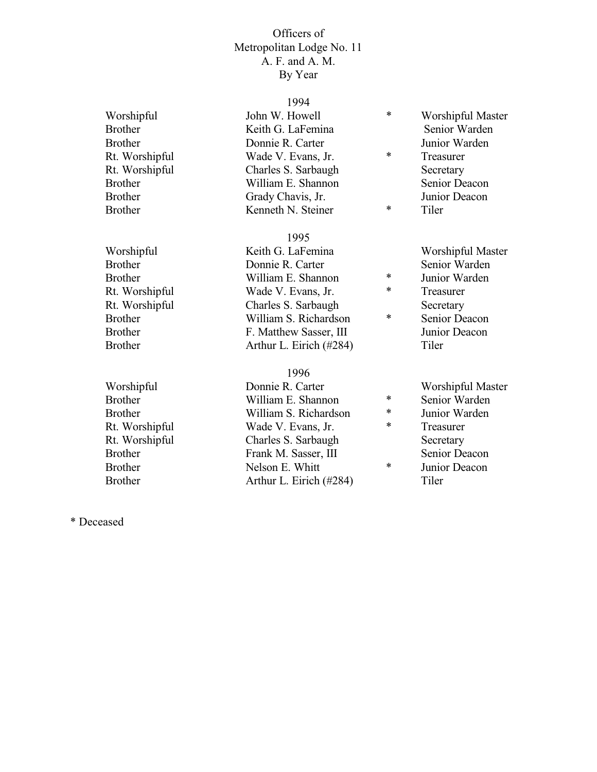# Rt. Worshipful Rt. Worshipful

#### 1994

| Worshipful     | John W. Howell      | ∗      | Worshipful Master |
|----------------|---------------------|--------|-------------------|
| <b>Brother</b> | Keith G. LaFemina   |        | Senior Warden     |
| <b>Brother</b> | Donnie R. Carter    |        | Junior Warden     |
| Rt. Worshipful | Wade V. Evans, Jr.  | $\ast$ | Treasurer         |
| Rt. Worshipful | Charles S. Sarbaugh |        | Secretary         |
| <b>Brother</b> | William E. Shannon  |        | Senior Deacon     |
| <b>Brother</b> | Grady Chavis, Jr.   |        | Junior Deacon     |
| <b>Brother</b> | Kenneth N. Steiner  | $\ast$ | Tiler             |

#### 1995

Worshipful Keith G. LaFemina Worshipful Master Brother Donnie R. Carter Senior Warden<br>Brother William E. Shannon \* Junior Warden Brother William E. Shannon \*<br>Rt Worshinful Wade V Evans Ir \* Rt. Worshipful Wade V. Evans, Jr. \* Treasurer Rt. Worshipful Charles S. Sarbaugh Secretary<br>
Represent William S. Richardson  $\ast$  Senior De Brother William S. Richardson \* Senior Deacon Brother F. Matthew Sasser, III Junior Deacon Brother Arthur L. Eirich (#284) Tiler

#### 1996

Worshipful Donnie R. Carter Worshipful Master Brother William E. Shannon  $*$  Senior Warden Brother William S. Richardson \* Junior Warden<br>Rt. Worshipful Wade V. Evans, Jr. \* Treasurer Wade V. Evans, Jr.  $*$  Treasurer Rt. Worshipful Charles S. Sarbaugh Secretary Brother Frank M. Sasser, III Senior Deacon<br>
Repeated Nelson F. Whitt \* Junior Deacon Brother Nelson E. Whitt  $\bullet$  Melson E. Whitt  $\bullet$  Munior Deacon Brother **Arthur L. Eirich (#284)** Tiler

- 
- 
- 
- 
- 
- -
- 
- 
- 
- -
- 

\* Deceased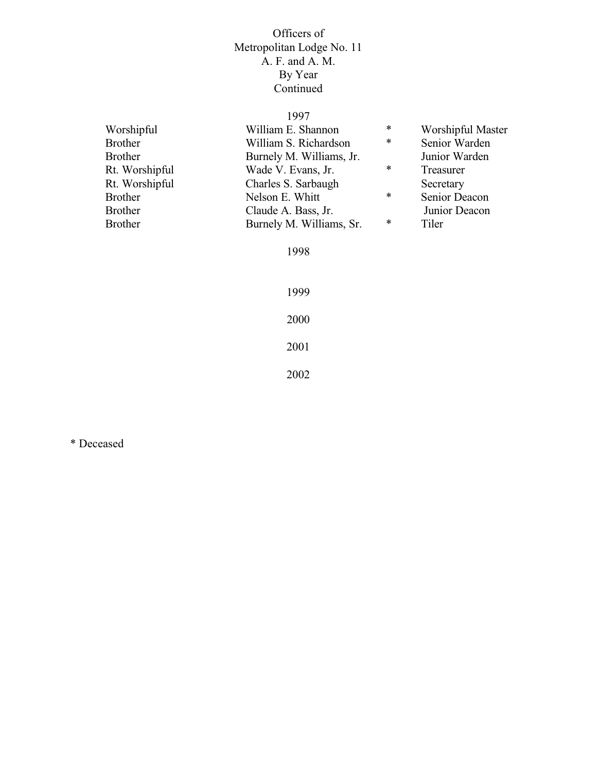# 1997

| Worshipful     | William E. Shannon       | $\ast$ | Worshipful Master |
|----------------|--------------------------|--------|-------------------|
| <b>Brother</b> | William S. Richardson    | $\ast$ | Senior Warden     |
| <b>Brother</b> | Burnely M. Williams, Jr. |        | Junior Warden     |
| Rt. Worshipful | Wade V. Evans, Jr.       | $\ast$ | Treasurer         |
| Rt. Worshipful | Charles S. Sarbaugh      |        | Secretary         |
| <b>Brother</b> | Nelson E. Whitt          | $\ast$ | Senior Deacon     |
| <b>Brother</b> | Claude A. Bass, Jr.      |        | Junior Deacon     |
| <b>Brother</b> | Burnely M. Williams, Sr. | $\ast$ | Tiler             |
|                |                          |        |                   |

1998

\* Deceased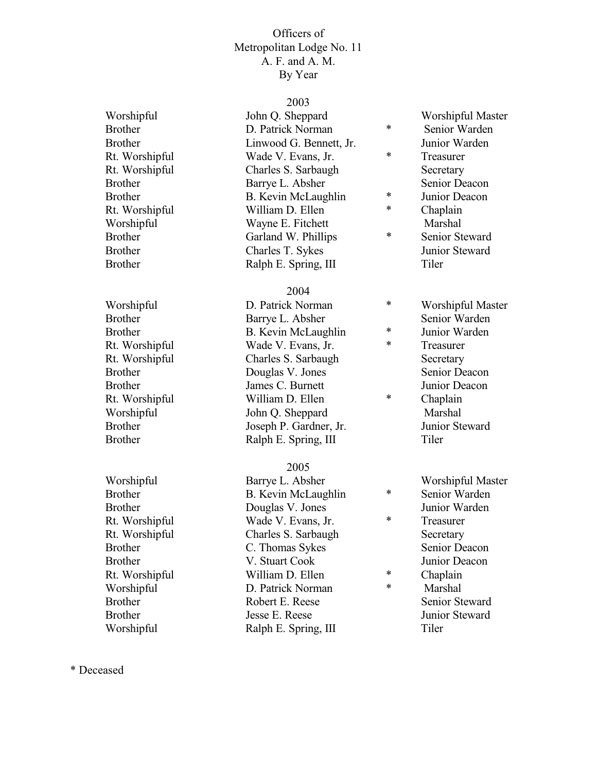#### 2003

Worshipful John Q. Sheppard Worshipful Master<br>
Reprise Common Marticle D. Patrick Norman Martin Senior Warden Brother **D. Patrick Norman** \* Senior Warden Brother Linwood G. Bennett, Jr. Junior Warden<br>Rt Worshinful Wade V Evans Ir \* Treasurer Rt. Worshipful Wade V. Evans, Jr. \* Treasurer Rt. Worshipful Charles S. Sarbaugh Secretary Brother Barrye L. Absher Senior Deacon<br>Brother Brother Brother Senior Deacon Brother B. Kevin McLaughlin \* Junior Deacon<br>Rt Worshinful William D Ellen \* Chanlain Rt. Worshipful William D. Ellen \* Chaplain Worshipful Wayne E. Fitchett Marshal<br>Brother Garland W. Phillips \* Senior St. Brother Garland W. Phillips  $\ast$  Senior Steward Brother Charles T. Sykes Junior Steward Brother Ralph E. Spring, III Tiler

#### 2004

Brother **Barrye L. Absher** Senior Warden Brother B. Kevin McLaughlin \* Junior Warden<br>Rt Worshinful Wade V Evans Ir \* Treasurer Rt. Worshipful Wade V. Evans, Jr. \* Treasurer Rt. Worshipful Charles S. Sarbaugh Secretary Brother **Douglas V. Jones** Senior Deacon Brother James C. Burnett Junior Deacon<br>
Rt Worshinful William D. Ellen \* Chanlain Rt. Worshipful William D. Ellen \* Chaplain Worshipful John Q. Sheppard Marshal Brother Joseph P. Gardner, Jr. Junior Steward Brother Ralph E. Spring, III Tiler

# 2005

Worshipful **Barrye L. Absher** Worshipful Master<br>
Review B. Kevin McLaughlin **Senior Warden** Brother B. Kevin McLaughlin \* Senior Warden Brother Douglas V. Jones Junior Warden<br>Rt Worshinful Wade V Evans Ir \* Treasurer Rt. Worshipful Wade V. Evans, Jr. \* Treasurer Rt. Worshipful Charles S. Sarbaugh Secretary Brother C. Thomas Sykes Senior Deacon Brother V. Stuart Cook Junior Deacon Rt. Worshipful William D. Ellen \* Chaplain<br>Worshipful D. Patrick Norman \* Marshal Worshipful D. Patrick Norman  $\ast$  Marshal Brother **Robert E. Reese** Senior Steward Brother **Internal Search Steward** Junior Steward Junior Steward Worshipful Ralph E. Spring, III Tiler

- Worshipful **D. Patrick Norman** \* Worshipful Master
	-
	-
	- - -
		-

- 
- 
- 
- 
- 

\* Deceased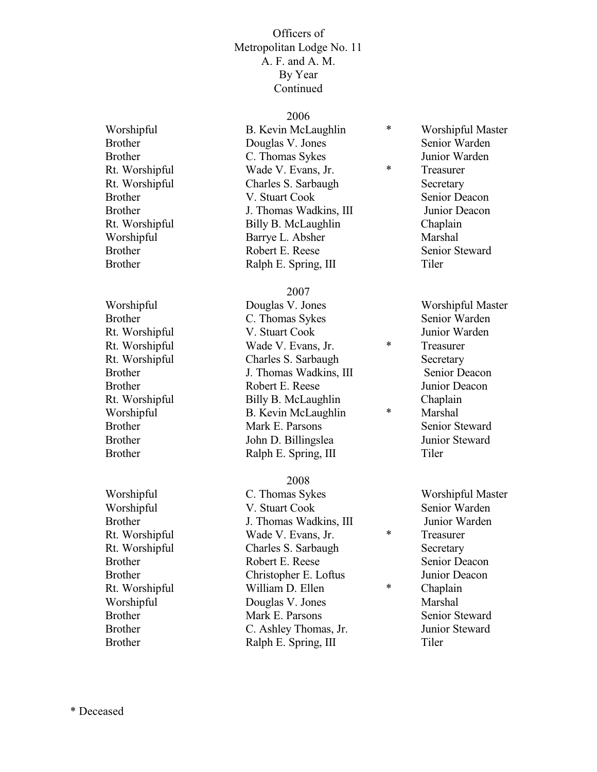2006

Worshipful B. Kevin McLaughlin \* Worshipful Master Brother **Douglas V. Jones** Senior Warden Brother C. Thomas Sykes Junior Warden<br>
Rt Worshipful Wade V. Evans Jr. \* Treasurer Rt. Worshipful Wade V. Evans, Jr. \* Treasurer Rt. Worshipful Charles S. Sarbaugh Secretary Brother **V. Stuart Cook** Senior Deacon Brother **I.** Thomas Wadkins, III Junior Deacon Rt. Worshipful Billy B. McLaughlin Chaplain Worshipful Barrye L. Absher Marshal Brother **Robert E. Reese** Senior Steward Brother Ralph E. Spring, III Tiler

#### 2007

Worshipful Douglas V. Jones Worshipful Master Brother C. Thomas Sykes Senior Warden Rt. Worshipful V. Stuart Cook Junior Warden<br>Rt. Worshipful Vade V. Evans Ir \* Treasurer Rt. Worshipful Wade V. Evans, Jr. \* Treasurer Rt. Worshipful Charles S. Sarbaugh Secretary Brother J. Thomas Wadkins, III Senior Deacon Brother Robert E. Reese Junior Deacon Rt. Worshipful Billy B. McLaughlin Chaplain Worshipful B. Kevin McLaughlin \* Marshal Brother Mark E. Parsons Senior Steward Brother John D. Billingslea Junior Steward Brother Ralph E. Spring, III Tiler

#### 2008

Worshipful C. Thomas Sykes Worshipful Master Worshipful **V.** Stuart Cook Senior Warden Brother J. Thomas Wadkins, III Junior Warden Rt. Worshipful Wade V. Evans, Jr. \* Treasurer Rt. Worshipful Charles S. Sarbaugh Secretary Brother **Robert E. Reese** Senior Deacon Brother Christopher E. Loftus Junior Deacon Rt. Worshipful William D. Ellen \* Chaplain Worshipful **Douglas V. Jones** Marshal Brother Mark E. Parsons Senior Steward Brother C. Ashley Thomas, Jr. Junior Steward Brother Ralph E. Spring, III Tiler

- -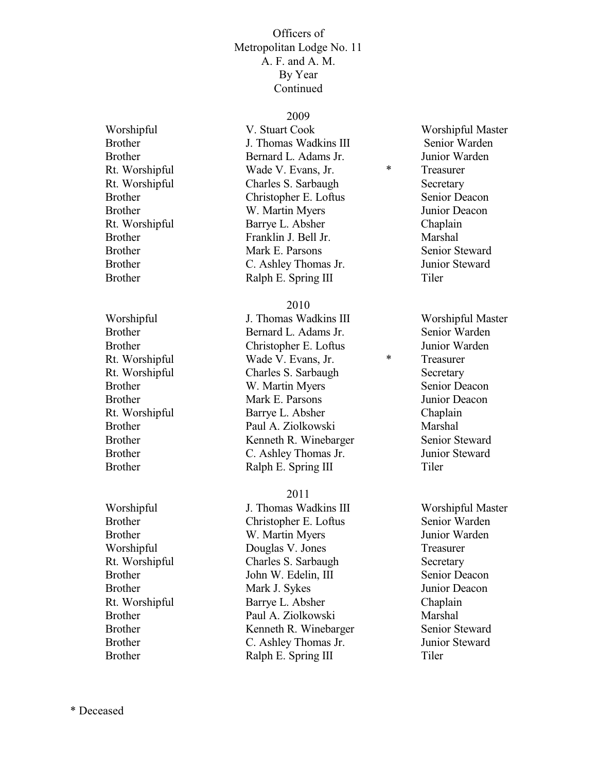### 2009

Worshipful V. Stuart Cook Worshipful Master Brother J. Thomas Wadkins III Senior Warden Brother Bernard L. Adams Jr. Junior Warden Rt. Worshipful Wade V. Evans, Jr. \* Treasurer Rt. Worshipful Charles S. Sarbaugh Secretary Brother Christopher E. Loftus Senior Deacon Brother W. Martin Myers Junior Deacon Rt. Worshipful Barrye L. Absher Chaplain Brother Franklin J. Bell Jr. Marshal Brother Mark E. Parsons Senior Steward Brother C. Ashley Thomas Jr. Junior Steward Brother Ralph E. Spring III Tiler

#### 2010

Worshipful **J. Thomas Wadkins III** Worshipful Master Brother Bernard L. Adams Jr. Senior Warden Brother Christopher E. Loftus Junior Warden Rt. Worshipful Wade V. Evans, Jr. \* Treasurer Rt. Worshipful Charles S. Sarbaugh Secretary Brother W. Martin Myers Senior Deacon Brother Mark E. Parsons Junior Deacon Rt. Worshipful Barrye L. Absher Chaplain Brother Paul A. Ziolkowski Marshal Brother Kenneth R. Winebarger Senior Steward Brother C. Ashley Thomas Jr. Junior Steward Brother Ralph E. Spring III Tiler

#### 2011

Worshipful **Vertex** J. Thomas Wadkins III **Worshipful Master** Brother Christopher E. Loftus Senior Warden Brother W. Martin Myers Junior Warden Worshipful Douglas V. Jones Treasurer Rt. Worshipful Charles S. Sarbaugh Secretary Brother **Iohn W. Edelin, III** Senior Deacon Brother Mark J. Sykes Junior Deacon Rt. Worshipful Barrye L. Absher Chaplain Brother Paul A. Ziolkowski Marshal<br>Brother Kenneth R. Winebarger Senior Steward Brother Kenneth R. Winebarger Brother C. Ashley Thomas Jr. Junior Steward Brother Ralph E. Spring III Tiler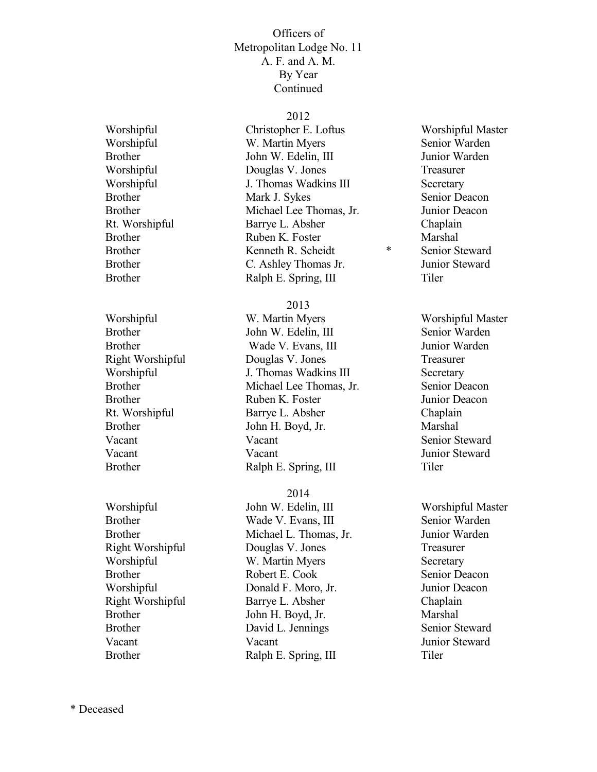#### 2012

Worshipful Christopher E. Loftus Worshipful Master Worshipful W. Martin Myers Senior Warden Brother **Internal Solution** John W. Edelin, III **Statement Glue Glue Glue Glue Glue Glue** Junior Warden Worshipful Douglas V. Jones Treasurer Worshipful **J.** Thomas Wadkins III Secretary Brother Mark J. Sykes Senior Deacon Brother Michael Lee Thomas, Jr. Junior Deacon Rt. Worshipful Barrye L. Absher Chaplain Brother Ruben K. Foster Marshal Brother **Kenneth R. Scheidt** \* Senior Steward Brother C. Ashley Thomas Jr. Junior Steward Brother Ralph E. Spring, III Tiler

2013

Worshipful W. Martin Myers Worshipful Master Brother John W. Edelin, III Senior Warden Brother Wade V. Evans, III Junior Warden Right Worshipful Douglas V. Jones Treasurer Worshipful **J. Thomas Wadkins III** Secretary Brother Michael Lee Thomas, Jr. Senior Deacon Brother **Ruben K. Foster** Junior Deacon Rt. Worshipful Barrye L. Absher Chaplain Brother John H. Boyd, Jr. Marshal Vacant Vacant Vacant Senior Steward Vacant Vacant Vacant Junior Steward Brother Ralph E. Spring, III Tiler

### 2014

Worshipful John W. Edelin, III Worshipful Master Brother Wade V. Evans, III Senior Warden Brother Michael L. Thomas, Jr. Junior Warden Right Worshipful Douglas V. Jones Treasurer Worshipful W. Martin Myers Secretary Brother Robert E. Cook Senior Deacon Worshipful Donald F. Moro, Jr. Junior Deacon Right Worshipful Barrye L. Absher Chaplain Brother John H. Boyd, Jr. Marshal Brother David L. Jennings Senior Steward Vacant Vacant Vacant Junior Steward Brother Ralph E. Spring, III Tiler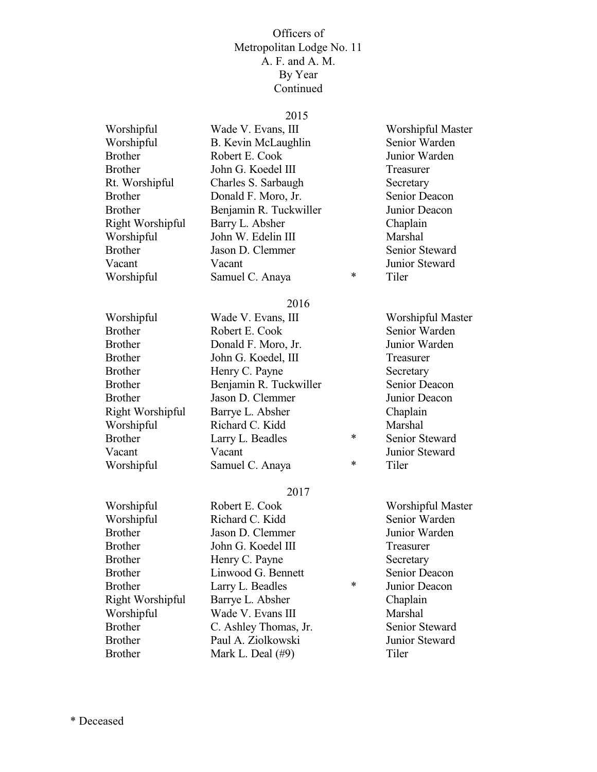#### 2015

Worshipful Wade V. Evans, III Worshipful Master Worshipful B. Kevin McLaughlin Senior Warden Brother Robert E. Cook Junior Warden Brother John G. Koedel III Treasurer Rt. Worshipful Charles S. Sarbaugh Secretary Brother **Donald F. Moro, Jr.** Senior Deacon Brother Benjamin R. Tuckwiller Junior Deacon Right Worshipful Barry L. Absher Chaplain<br>
Worshipful John W. Edelin III Marshal Worshipful John W. Edelin III Brother **Jason D. Clemmer** Senior Steward Vacant Vacant Junior Steward Worshipful Samuel C. Anaya \* Tiler

#### 2016

| Worshipful<br>Wade V. Evans, III             | Worshipful Master |
|----------------------------------------------|-------------------|
| <b>Brother</b><br>Robert E. Cook             | Senior Warden     |
| <b>Brother</b><br>Donald F. Moro, Jr.        | Junior Warden     |
| John G. Koedel, III<br><b>Brother</b>        | Treasurer         |
| Henry C. Payne<br><b>Brother</b>             | Secretary         |
| Benjamin R. Tuckwiller<br><b>Brother</b>     | Senior Deacon     |
| Jason D. Clemmer<br><b>Brother</b>           | Junior Deacon     |
| Right Worshipful<br>Barrye L. Absher         | Chaplain          |
| Worshipful<br>Richard C. Kidd                | Marshal           |
| $\ast$<br><b>Brother</b><br>Larry L. Beadles | Senior Steward    |
| Vacant<br>Vacant                             | Junior Steward    |
| $\ast$<br>Worshipful<br>Samuel C. Anaya      | Tiler             |

#### 2017

Worshipful Robert E. Cook Worshipful Master Worshipful Richard C. Kidd Senior Warden Brother Jason D. Clemmer Junior Warden Brother John G. Koedel III Treasurer Brother Henry C. Payne Secretary Brother Linwood G. Bennett Senior Deacon<br>Brother Larry L. Beadles \* Lunior Deacon Brother **Larry L. Beadles Example 1** For Marry L. Beadles Right Worshipful Barrye L. Absher Chaplain Worshipful Wade V. Evans III Marshal Brother C. Ashley Thomas, Jr. Senior Steward Brother Paul A. Ziolkowski Junior Steward Brother Mark L. Deal (#9) Tiler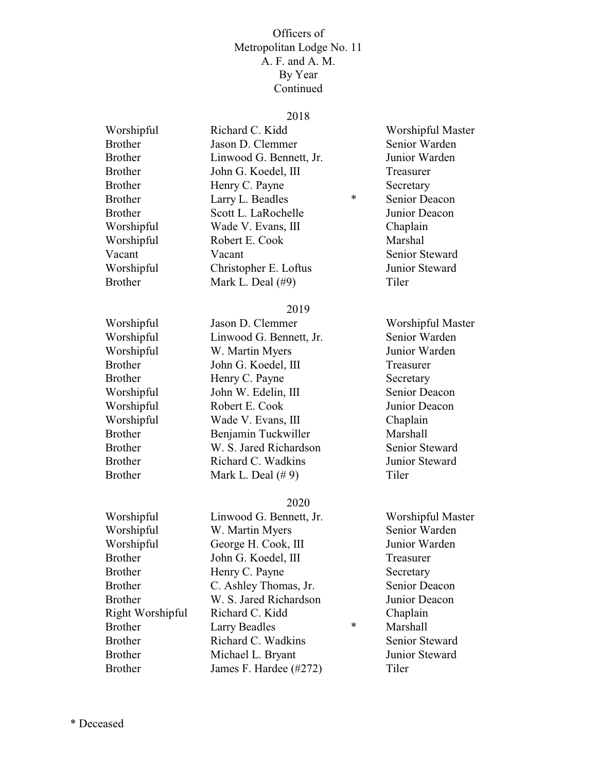#### 2018

Worshipful Richard C. Kidd Worshipful Master Brother Jason D. Clemmer Senior Warden Brother Linwood G. Bennett, Jr. Junior Warden Brother John G. Koedel, III Treasurer Brother Henry C. Payne Secretary Brother **Larry L. Beadles** \* Senior Deacon Brother Scott L. LaRochelle Junior Deacon Worshipful Wade V. Evans, III Chaplain Worshipful Robert E. Cook Marshal Vacant Vacant Vacant Senior Steward Worshipful Christopher E. Loftus Junior Steward Brother Mark L. Deal (#9) Tiler

#### 2019

Worshipful Jason D. Clemmer Worshipful Master Worshipful Linwood G. Bennett, Jr. Senior Warden Worshipful W. Martin Myers Junior Warden Brother John G. Koedel, III Treasurer Brother Henry C. Payne Secretary Worshipful John W. Edelin, III Senior Deacon Worshipful Robert E. Cook Junior Deacon Worshipful Wade V. Evans, III Chaplain Brother Benjamin Tuckwiller Marshall Brother W. S. Jared Richardson Senior Steward Brother Richard C. Wadkins Junior Steward Brother Mark L. Deal (#9) Tiler

#### 2020

Worshipful Linwood G. Bennett, Jr. Worshipful Master Worshipful W. Martin Myers Senior Warden Worshipful George H. Cook, III Junior Warden Brother John G. Koedel, III Treasurer Brother Henry C. Payne Secretary Brother C. Ashley Thomas, Jr. Senior Deacon Brother W. S. Jared Richardson Junior Deacon Right Worshipful Richard C. Kidd Chaplain Brother Larry Beadles \* Marshall Brother Richard C. Wadkins Senior Steward Brother Michael L. Bryant Junior Steward Brother James F. Hardee (#272) Tiler